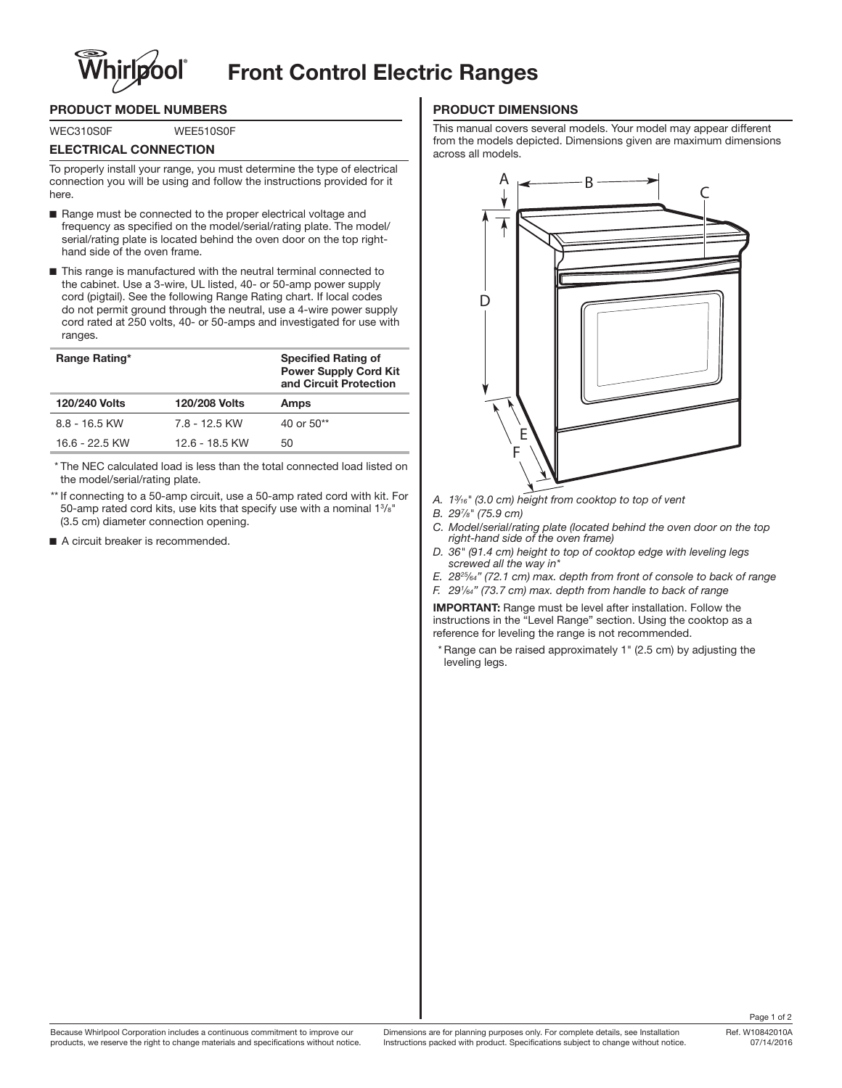# **Front Control Electric Ranges**

# **PRODUCT MODEL NUMBERS**

WEC310S0F WEE510S0F

### **ELECTRICAL CONNECTION**

To properly install your range, you must determine the type of electrical connection you will be using and follow the instructions provided for it here.

- Range must be connected to the proper electrical voltage and frequency as specified on the model/serial/rating plate. The model/ serial/rating plate is located behind the oven door on the top righthand side of the oven frame.
- This range is manufactured with the neutral terminal connected to the cabinet. Use a 3-wire, UL listed, 40- or 50-amp power supply cord (pigtail). See the following Range Rating chart. If local codes do not permit ground through the neutral, use a 4-wire power supply cord rated at 250 volts, 40- or 50-amps and investigated for use with ranges.

| Range Rating*        |                      | <b>Specified Rating of</b><br><b>Power Supply Cord Kit</b><br>and Circuit Protection |
|----------------------|----------------------|--------------------------------------------------------------------------------------|
| <b>120/240 Volts</b> | <b>120/208 Volts</b> | Amps                                                                                 |
| $8.8 - 16.5$ KW      | 7.8 - 12.5 KW        | 40 or $50**$                                                                         |
| $16.6 - 22.5$ KW     | 12.6 - 18.5 KW       | 50                                                                                   |

\* The NEC calculated load is less than the total connected load listed on the model/serial/rating plate.

- \*\* If connecting to a 50-amp circuit, use a 50-amp rated cord with kit. For 50-amp rated cord kits, use kits that specify use with a nominal 1<sup>3</sup>/8" (3.5 cm) diameter connection opening.
- A circuit breaker is recommended.

## **PRODUCT DIMENSIONS**

This manual covers several models. Your model may appear different from the models depicted. Dimensions given are maximum dimensions across all models.



- *A. 1³⁄16" (3.0 cm) height from cooktop to top of vent*
- *B. 297 ⁄8" (75.9 cm)*
- *C. Model/serial/rating plate (located behind the oven door on the top right-hand side of the oven frame)*
- *D. 36" (91.4 cm) height to top of cooktop edge with leveling legs screwed all the way in\**
- *E. 2825⁄64" (72.1 cm) max. depth from front of console to back of range F. 291 ⁄64" (73.7 cm) max. depth from handle to back of range*

**IMPORTANT:** Range must be level after installation. Follow the instructions in the "Level Range" section. Using the cooktop as a reference for leveling the range is not recommended.

\* Range can be raised approximately 1" (2.5 cm) by adjusting the leveling legs.